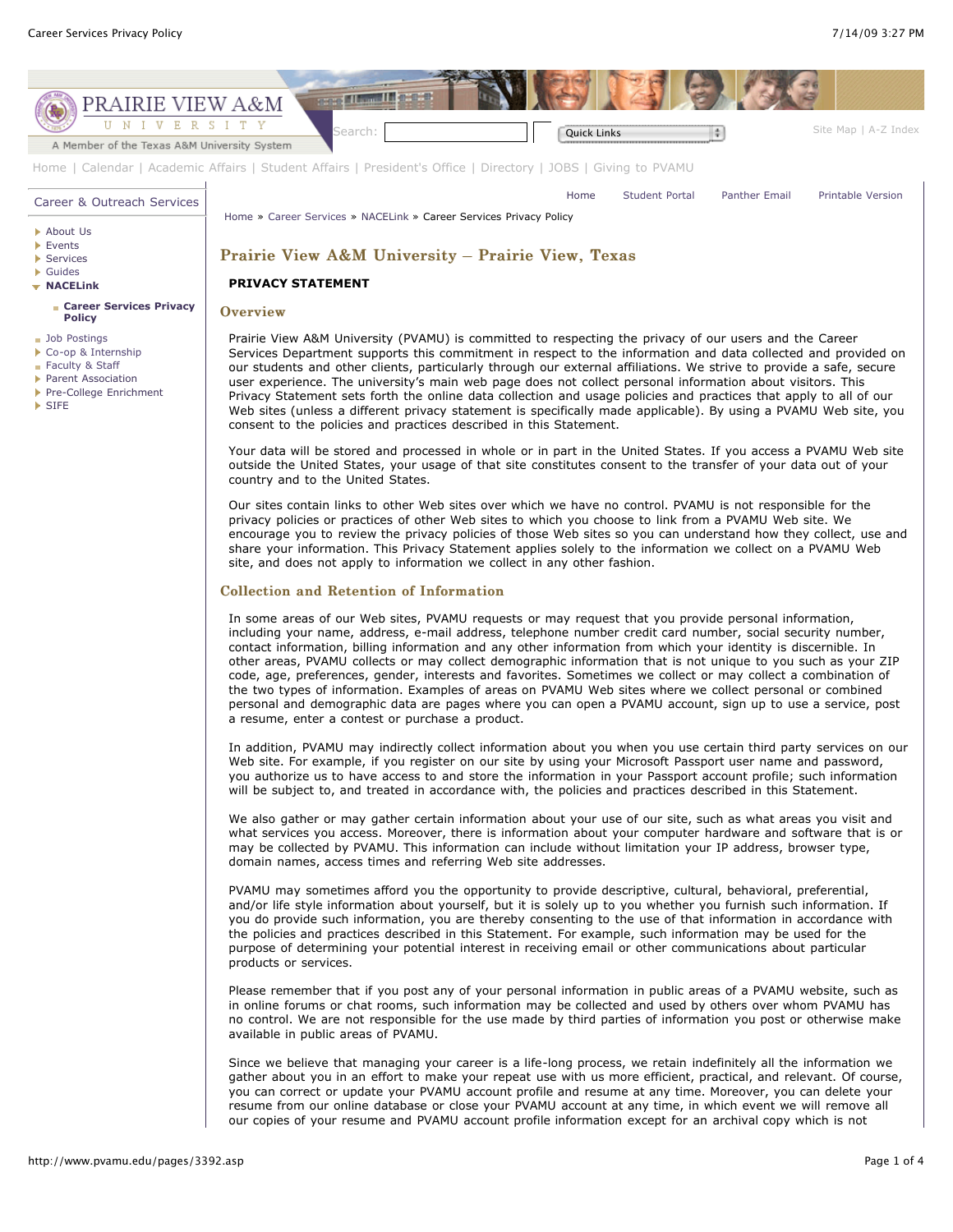

Since we believe that managing your career is a life-long process, we retain indefinitely all the information we gather about you in an effort to make your repeat use with us more efficient, practical, and relevant. Of course, you can correct or update your PVAMU account profile and resume at any time. Moreover, you can delete your resume from our online database or close your PVAMU account at any time, in which event we will remove all our copies of your resume and PVAMU account profile information except for an archival copy which is not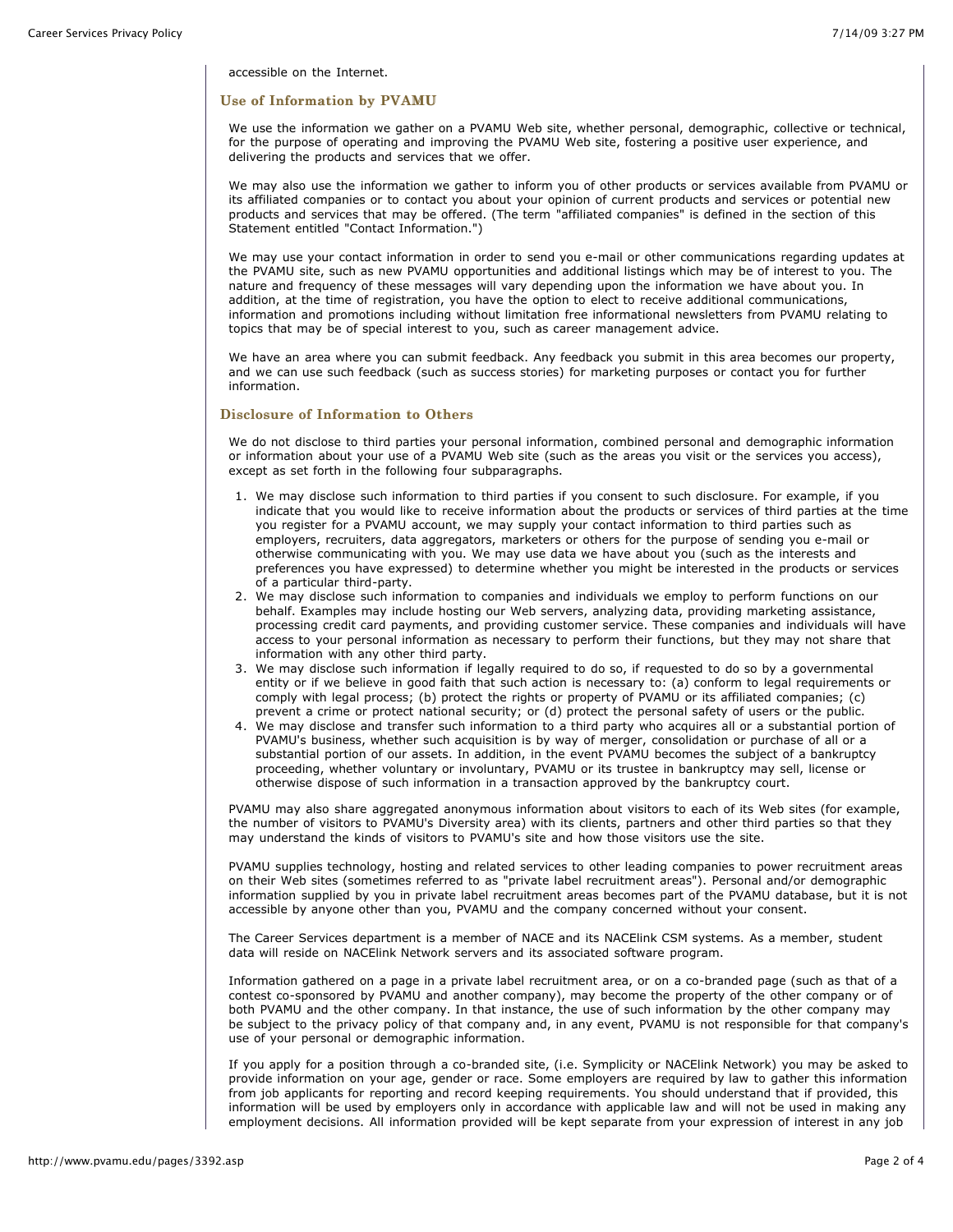accessible on the Internet.

# Use of Information by PVAMU

We use the information we gather on a PVAMU Web site, whether personal, demographic, collective or technical, for the purpose of operating and improving the PVAMU Web site, fostering a positive user experience, and delivering the products and services that we offer.

We may also use the information we gather to inform you of other products or services available from PVAMU or its affiliated companies or to contact you about your opinion of current products and services or potential new products and services that may be offered. (The term "affiliated companies" is defined in the section of this Statement entitled "Contact Information.")

We may use your contact information in order to send you e-mail or other communications regarding updates at the PVAMU site, such as new PVAMU opportunities and additional listings which may be of interest to you. The nature and frequency of these messages will vary depending upon the information we have about you. In addition, at the time of registration, you have the option to elect to receive additional communications, information and promotions including without limitation free informational newsletters from PVAMU relating to topics that may be of special interest to you, such as career management advice.

We have an area where you can submit feedback. Any feedback you submit in this area becomes our property, and we can use such feedback (such as success stories) for marketing purposes or contact you for further information.

# Disclosure of Information to Others

We do not disclose to third parties your personal information, combined personal and demographic information or information about your use of a PVAMU Web site (such as the areas you visit or the services you access), except as set forth in the following four subparagraphs.

- 1. We may disclose such information to third parties if you consent to such disclosure. For example, if you indicate that you would like to receive information about the products or services of third parties at the time you register for a PVAMU account, we may supply your contact information to third parties such as employers, recruiters, data aggregators, marketers or others for the purpose of sending you e-mail or otherwise communicating with you. We may use data we have about you (such as the interests and preferences you have expressed) to determine whether you might be interested in the products or services of a particular third-party.
- 2. We may disclose such information to companies and individuals we employ to perform functions on our behalf. Examples may include hosting our Web servers, analyzing data, providing marketing assistance, processing credit card payments, and providing customer service. These companies and individuals will have access to your personal information as necessary to perform their functions, but they may not share that information with any other third party.
- 3. We may disclose such information if legally required to do so, if requested to do so by a governmental entity or if we believe in good faith that such action is necessary to: (a) conform to legal requirements or comply with legal process; (b) protect the rights or property of PVAMU or its affiliated companies; (c) prevent a crime or protect national security; or (d) protect the personal safety of users or the public.
- 4. We may disclose and transfer such information to a third party who acquires all or a substantial portion of PVAMU's business, whether such acquisition is by way of merger, consolidation or purchase of all or a substantial portion of our assets. In addition, in the event PVAMU becomes the subject of a bankruptcy proceeding, whether voluntary or involuntary, PVAMU or its trustee in bankruptcy may sell, license or otherwise dispose of such information in a transaction approved by the bankruptcy court.

PVAMU may also share aggregated anonymous information about visitors to each of its Web sites (for example, the number of visitors to PVAMU's Diversity area) with its clients, partners and other third parties so that they may understand the kinds of visitors to PVAMU's site and how those visitors use the site.

PVAMU supplies technology, hosting and related services to other leading companies to power recruitment areas on their Web sites (sometimes referred to as "private label recruitment areas"). Personal and/or demographic information supplied by you in private label recruitment areas becomes part of the PVAMU database, but it is not accessible by anyone other than you, PVAMU and the company concerned without your consent.

The Career Services department is a member of NACE and its NACElink CSM systems. As a member, student data will reside on NACElink Network servers and its associated software program.

Information gathered on a page in a private label recruitment area, or on a co-branded page (such as that of a contest co-sponsored by PVAMU and another company), may become the property of the other company or of both PVAMU and the other company. In that instance, the use of such information by the other company may be subject to the privacy policy of that company and, in any event, PVAMU is not responsible for that company's use of your personal or demographic information.

If you apply for a position through a co-branded site, (i.e. Symplicity or NACElink Network) you may be asked to provide information on your age, gender or race. Some employers are required by law to gather this information from job applicants for reporting and record keeping requirements. You should understand that if provided, this information will be used by employers only in accordance with applicable law and will not be used in making any employment decisions. All information provided will be kept separate from your expression of interest in any job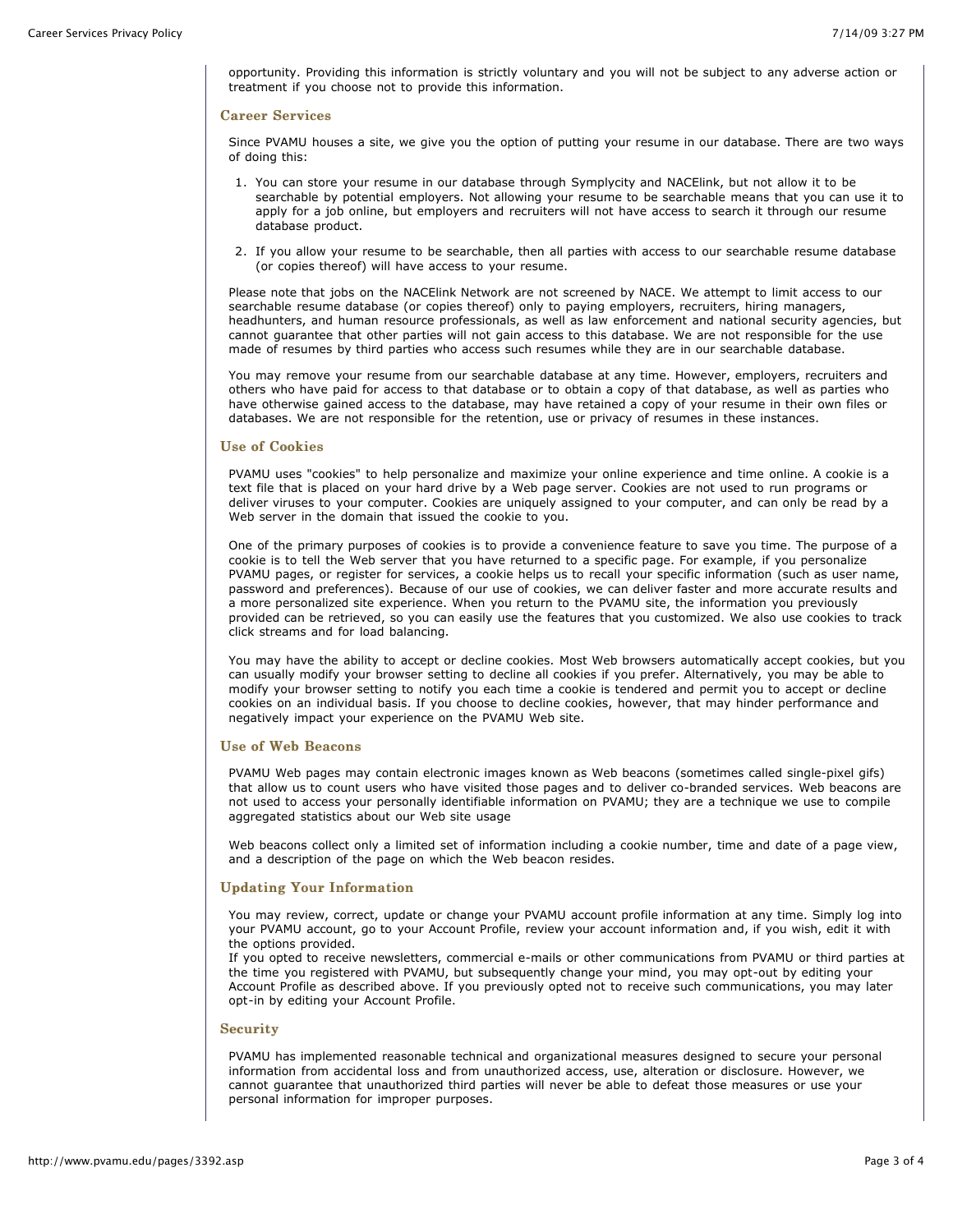opportunity. Providing this information is strictly voluntary and you will not be subject to any adverse action or treatment if you choose not to provide this information.

#### **Career Services**

Since PVAMU houses a site, we give you the option of putting your resume in our database. There are two ways of doing this:

- 1. You can store your resume in our database through Symplycity and NACElink, but not allow it to be searchable by potential employers. Not allowing your resume to be searchable means that you can use it to apply for a job online, but employers and recruiters will not have access to search it through our resume database product.
- 2. If you allow your resume to be searchable, then all parties with access to our searchable resume database (or copies thereof) will have access to your resume.

Please note that jobs on the NACElink Network are not screened by NACE. We attempt to limit access to our searchable resume database (or copies thereof) only to paying employers, recruiters, hiring managers, headhunters, and human resource professionals, as well as law enforcement and national security agencies, but cannot guarantee that other parties will not gain access to this database. We are not responsible for the use made of resumes by third parties who access such resumes while they are in our searchable database.

You may remove your resume from our searchable database at any time. However, employers, recruiters and others who have paid for access to that database or to obtain a copy of that database, as well as parties who have otherwise gained access to the database, may have retained a copy of your resume in their own files or databases. We are not responsible for the retention, use or privacy of resumes in these instances.

### **Use of Cookies**

PVAMU uses "cookies" to help personalize and maximize your online experience and time online. A cookie is a text file that is placed on your hard drive by a Web page server. Cookies are not used to run programs or deliver viruses to your computer. Cookies are uniquely assigned to your computer, and can only be read by a Web server in the domain that issued the cookie to you.

One of the primary purposes of cookies is to provide a convenience feature to save you time. The purpose of a cookie is to tell the Web server that you have returned to a specific page. For example, if you personalize PVAMU pages, or register for services, a cookie helps us to recall your specific information (such as user name, password and preferences). Because of our use of cookies, we can deliver faster and more accurate results and a more personalized site experience. When you return to the PVAMU site, the information you previously provided can be retrieved, so you can easily use the features that you customized. We also use cookies to track click streams and for load balancing.

You may have the ability to accept or decline cookies. Most Web browsers automatically accept cookies, but you can usually modify your browser setting to decline all cookies if you prefer. Alternatively, you may be able to modify your browser setting to notify you each time a cookie is tendered and permit you to accept or decline cookies on an individual basis. If you choose to decline cookies, however, that may hinder performance and negatively impact your experience on the PVAMU Web site.

#### Use of Web Beacons

PVAMU Web pages may contain electronic images known as Web beacons (sometimes called single-pixel gifs) that allow us to count users who have visited those pages and to deliver co-branded services. Web beacons are not used to access your personally identifiable information on PVAMU; they are a technique we use to compile aggregated statistics about our Web site usage

Web beacons collect only a limited set of information including a cookie number, time and date of a page view, and a description of the page on which the Web beacon resides.

# Updating Your Information

You may review, correct, update or change your PVAMU account profile information at any time. Simply log into your PVAMU account, go to your Account Profile, review your account information and, if you wish, edit it with the options provided.

If you opted to receive newsletters, commercial e-mails or other communications from PVAMU or third parties at the time you registered with PVAMU, but subsequently change your mind, you may opt-out by editing your Account Profile as described above. If you previously opted not to receive such communications, you may later opt-in by editing your Account Profile.

# **Security**

PVAMU has implemented reasonable technical and organizational measures designed to secure your personal information from accidental loss and from unauthorized access, use, alteration or disclosure. However, we cannot guarantee that unauthorized third parties will never be able to defeat those measures or use your personal information for improper purposes.